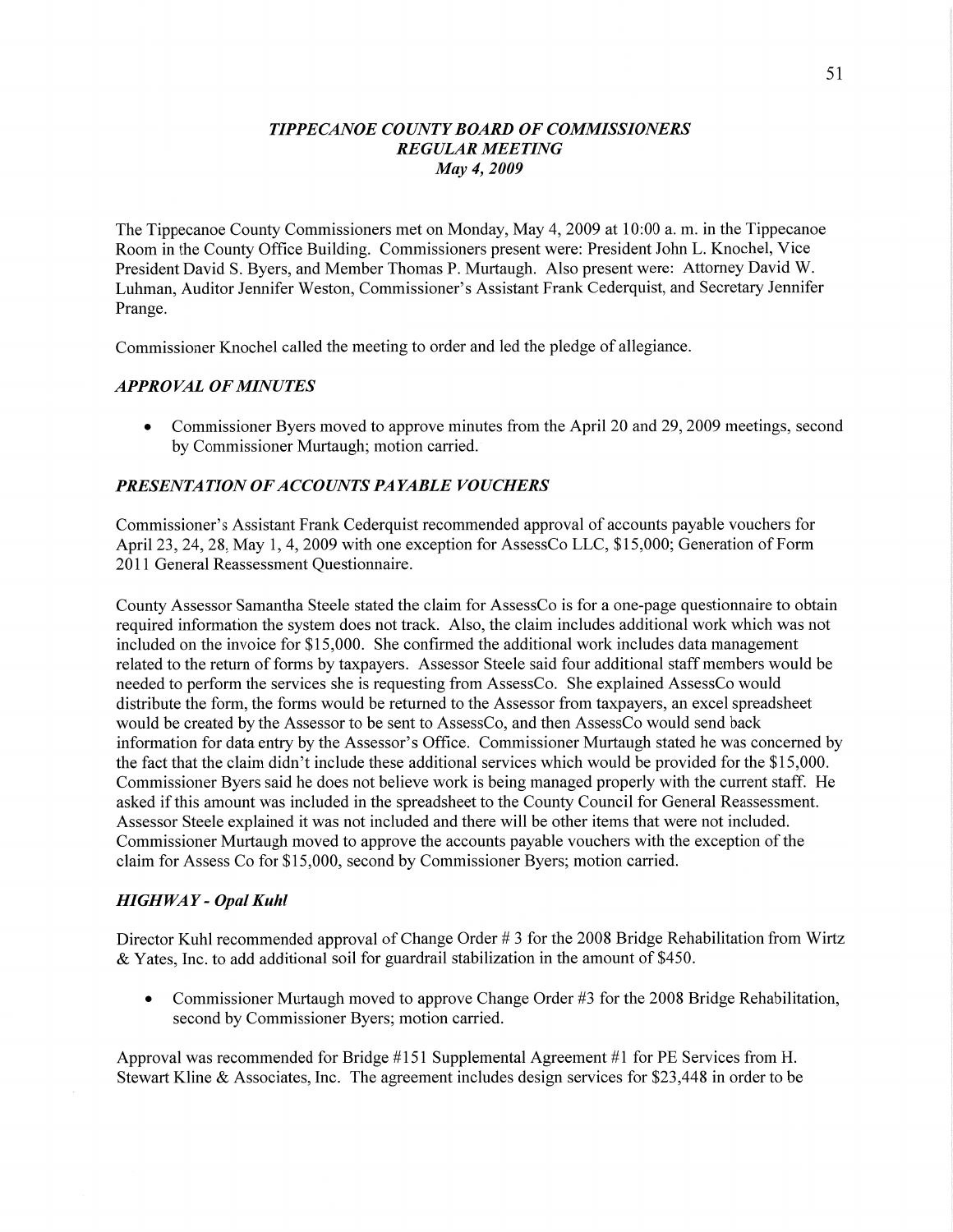### *TIPPECANOE* C0 *UNTYBOARD* OF *COMMISSIONERS REGULAR MEETING*  May 4, *2009*

The Tippecanoe County Commissioners met on Monday, May 4, 2009 at 10:00 a. m. in the Tippecanoe Room in the County **Office** Building. Commissioners present were: President John L. Knochel, Vice President **David** S. Byers, and Member Thomas P. Murtaugh. Also present were: Attorney David W. Luhman, Auditor Jennifer Weston, Commissioner's Assistant Frank Cederquist, and Secretary Jennifer Prange.

Commissioner Knochel called the meeting to order and led the pledge of allegiance.

### *APPROVAL* OF *MINUTES*

**0** Commissioner Byers moved to approve minutes from the April 20 and 29, 2009 meetings, second by Commissioner Murtaugh; motion carried.

### *PRESENTATION* OF *ACCOUNTS PAYABLE VOUCHERS*

Commissioner's Assistant Frank Cederquist recommended approval of accounts payable vouchers for April 23, 24, 28, May 1, 4, 2009 with one exception for AssessCo LLC, \$15,000; Generation of Form 2011 General Reassessment Questionnaire.

County Assessor Samantha Steele stated the claim for AssessCo is for a one-page questionnaire to obtain required information the system does not track. Also, the claim includes additional work which was not included on the invoice for \$15 ,000. She confirmed the additional work includes data management related to the return of forms by taxpayers. Assessor Steele said four additional staff members would be needed to perform the services she is requesting from AssessCo. She explained AssessCo would distribute the form, the forms would be retumed to the Assessor from taxpayers, an excel spreadsheet would be created by the Assessor to be sent to AssessCo, and then AssessCo would send back information for data entry by the Assessor's Office. Commissioner Murtaugh stated he was concerned by the fact that the claim didn't include these additional services which would be provided for the \$15,000. Commissioner Byers said he does not believe work is being managed properly with the current staff. He asked if this amount was included in the spreadsheet to the County Council for General Reassessment. Assessor Steele explained it was not included and there will be other items that were not included. Commissioner Murtaugh moved to approve the accounts payable vouchers with the exception of the claim for Assess Co for \$15,000, second by Commissioner Byers; motion carried.

### *HIGHWAY - Opal Kuhl*

Director Kuhl recommended approval of Change Order # 3 for the 2008 Bridge Rehabilitation from Wirtz & Yates, **Inc.** to add additional soil for guardrail stabilization in the amount of \$450.

• Commissioner Murtaugh moved to approve Change Order #3 for the 2008 Bridge Rehabilitation, second by Commissioner Byers; motion carried.

Approval was recommended for Bridge #151 Supplemental Agreement #1 for PE Services from H. Stewart Kline & Associates, Inc. The agreement includes design services for \$23,448 in order to be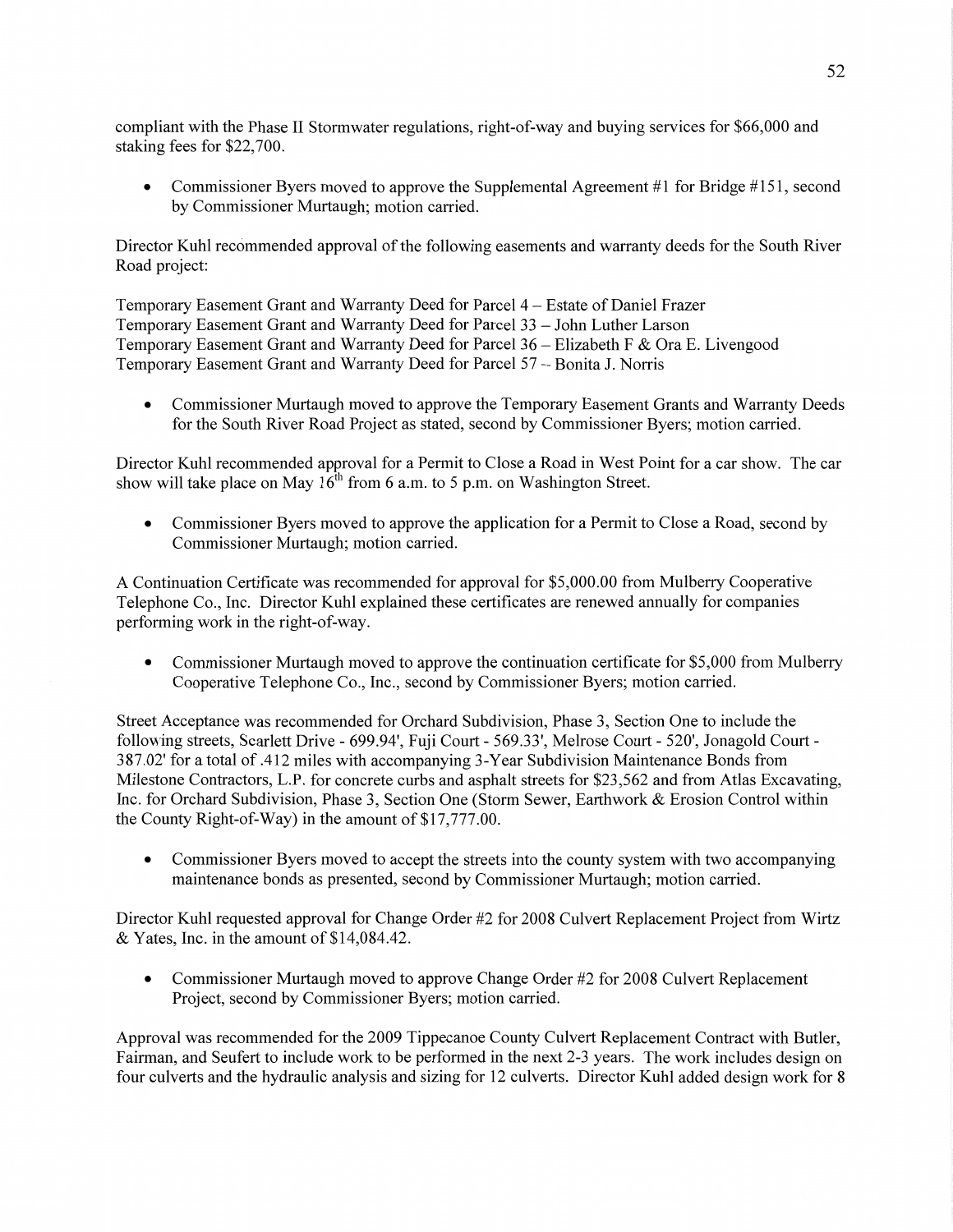compliant with the Phase II Stormwater regulations, right-of-way and buying services for \$66,000 and staking fees for \$22,700.

• Commissioner Byers moved to approve the Supplemental Agreement #1 for Bridge #151, second by Commissioner Murtaugh; motion carried.

Director Kuhl recommended approval of the following easements and warranty deeds for the South River Road project:

Temporary Easement Grant and Warranty Deed for Parcel 4 *—* Estate of Daniel Frazer Temporary Easement Grant and Warranty Deed for Parcel 33 **—** John Luther Larson Temporary Easement Grant and Warranty Deed for Parcel 36 — Elizabeth F & Ora E. Livengood Temporary Easement Grant and Warranty Deed for Parcel 57 - Bonita J. Norris

**0** Commissioner Murtaugh moved to approve the Temporary Easement Grants and Warranty Deeds for the **South** River Road Project as stated, second by Commissioner Byers; motion carried.

Director Kuhl recommended approval for a Permit to Close a Road in West Point for a car show. The car show will take place on May  $16^{th}$  from 6 a.m. to 5 p.m. on Washington Street.

*0* Commissioner Byers moved to approve the application for a Permit to Close a Road, second by Commissioner Murtaugh; motion carried.

**A** Continuation Certificate was recommended for approval for \$5,000.00 from Mulberry Cooperative Telephone Co., Inc. Director Kuhl explained these certificates are renewed annually for companies performing work in the right-of-way.

**0** Commissioner Murtaugh **moved** to approve the continuation certificate for \$5,000 from Mulberry Cooperative Telephone Co., Inc., second by Commissioner Byers; motion carried.

Street Acceptance was recommended for Orchard Subdivision, Phase 3, Section One to include the following streets, Scarlett Drive **—** 699.94', Fuji Court *-* 569.33', Melrose Court *-* 520', Jonagold Court *-* 387.02' for a total of **.412** miles with accompanying 3-Year Subdivision Maintenance Bonds from Milestone Contractors, L.P. for concrete curbs and **asphalt** streets for \$23,562 and from Atlas Excavating, Inc. for Orchard Subdivision, Phase 3, Section One (Storm Sewer, Earthwork & Erosion Control within the County Right-of-Way) in the amount of \$17,777.00.

**0** Commissioner Byers moved to accept the streets into the county system with two accompanying maintenance bonds as presented, second by Commissioner Murtaugh; motion carried.

Director Kuhl requested approval for Change Order #2 for 2008 Culvert Replacement Project from Wirtz & Yates, Inc. in the amount of \$14,084.42.

• Commissioner Murtaugh moved to approve Change Order #2 for 2008 Culvert Replacement Project, second by Commissioner Byers; motion carried.

Approval was recommended for the 2009 Tippecanoe County Culvert Replacement Contract with Butler, Fairman, and Seufert to include work to be performed in the next 2-3 years. The work includes design on four culverts and the hydraulic analysis and sizing for 12 culverts. Director Kuhl added design work for **8**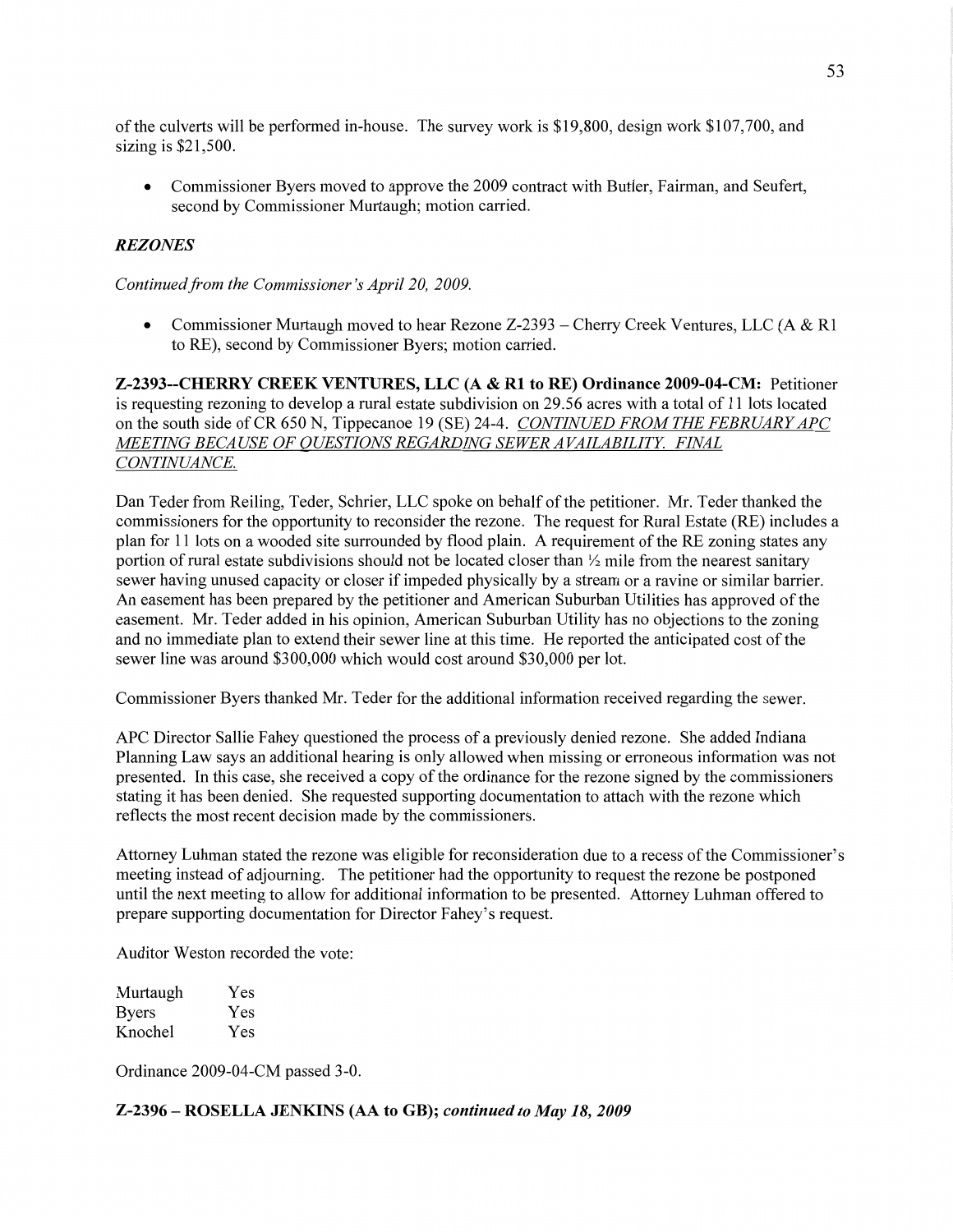of the culverts will be performed in—house. The survey work is \$19,800, design work \$107,700, and sizing is \$21,500.

• Commissioner Byers moved to approve the 2009 contract with Butler, Fairman, and Seufert, second by Commissioner Murtaugh; motion carried.

#### *REZONES*

*Continued from* the *Commissioner's April* 20, *2009.* 

**0** Commissioner Murtaugh moved to hear Rezone Z-2393 **—** Cherry Creek Ventures, LLC (A & R1 to RE), second by Commissioner Byers; motion carried.

**Z-2393--CIIERRY CREEK VENTURES,** LLC (A **&** R1 to RE) **Ordinance 2009-04-CM:** Petitioner is requesting rezoning to develop **a** rural estate subdivision on **29.56** acres with a total of 11 lots located on the south side of CR 650 N, Tippecanoe 19 (SE) 24-4. *CONTINUED FROM* THE *FEBRUARY* APC *WETING BECA* USE OF *QUESTIONS REGARDING SEWER A VAILABILITY. FINAL CONTINUANCE.* 

Dan Teder fiom Reiling, Teder, Schrier, LLC spoke on behalf of the petitioner. Mr. Teder **thanked** the commissioners for the opportunity to reconsider the rezone. The request for Rural Estate (RE) includes a plan for 11 lots on a wooded site surrounded by flood **plain.** A requirement of the RE zoning **states** any portion of rural estate subdivisions should not be located closer than  $\frac{1}{2}$  mile from the nearest sanitary sewer having unused capacity or closer if impeded physically by a stream or a ravine or similar barrier. An easement has been prepared by the petitioner and American Suburban Utilities has approved of the easement. Mr. Teder added in his opinion, American Suburban Utility has no objections to the zoning and no immediate plan to extend their sewer line at this time. He reported the anticipated cost of the sewer line was around \$300,000 which would cost around \$30,000 per lot.

Commissioner Byers thanked Mr. Teder for the additional information received regarding the sewer.

APC Director Sallie Fahey questioned the process of a previously denied rezone. She added Indiana Flaming Law says an additional hearing is only allowed when missing or erroneous information was not presented. In this case, she received a copy of the ordinance for the rezone signed by the commissioners stating it has been denied. She requested supporting documentation to attach with the rezone which reflects the most recent decision made by the commissioners.

Attorney Luhman **stated** the rezone was eligible for reconsideration due to a recess of the Commissioner's meeting instead of adjourning. The petitioner had the opportunity to request the rezone be postponed until the next meeting to allow for additional information to be presented. Attorney Luhman offered to prepare supporting documentation for Director Fahey's request.

Auditor Weston recorded the vote:

| Murtaugh     | Yes |
|--------------|-----|
| <b>Byers</b> | Yes |
| Knochel      | Yes |

Ordinance 2009-04-CM passed 3-0.

**Z-2396** — **ROSELLA JENIGNS** (AA to **GB);** *continued* to May 18, *2009*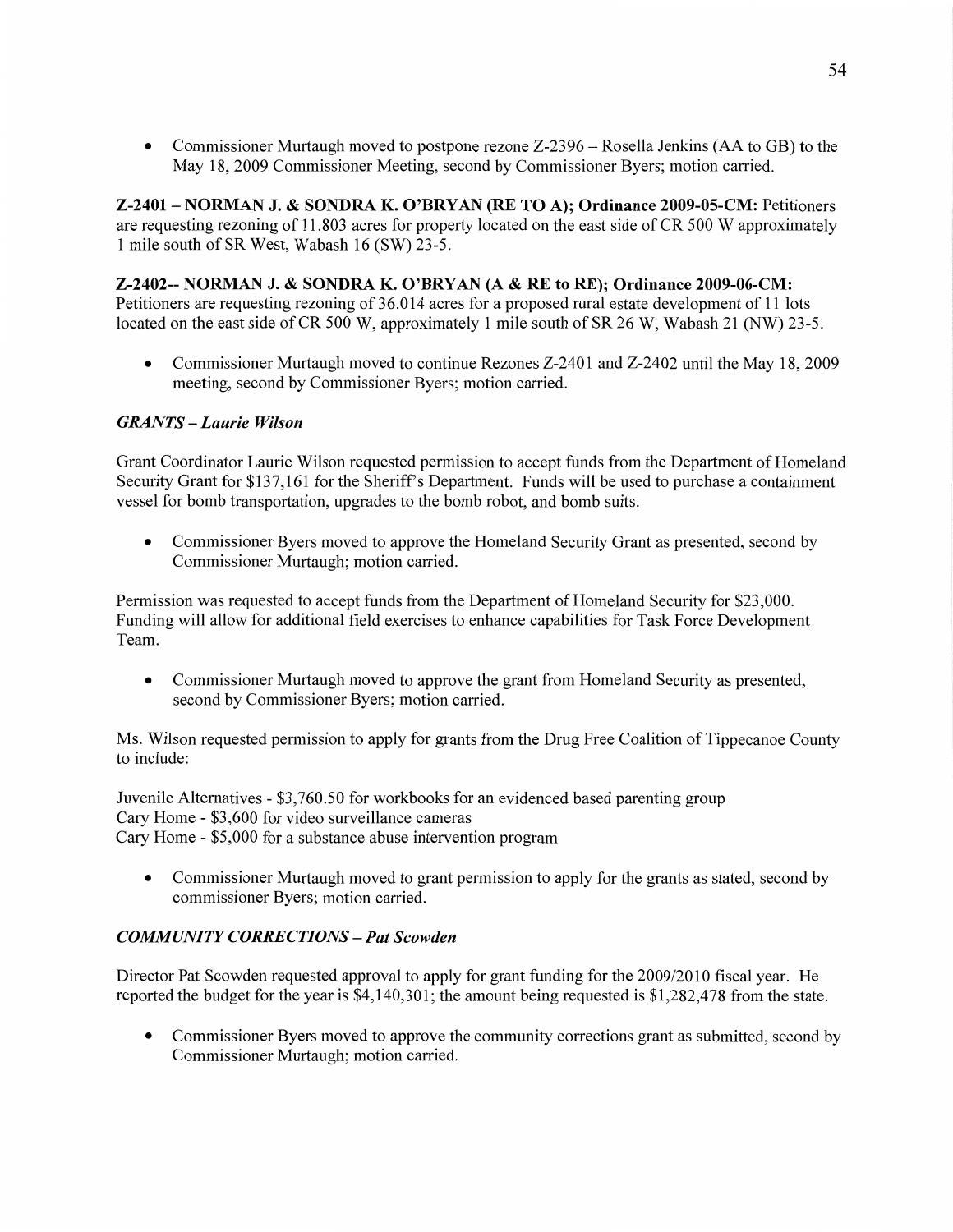**0** Commissioner Murtaugh moved to postpone rezone Z-2396 — Rosella Jenkins (AA to GB) to the May 18, 2009 Commissioner Meeting, second by Commissioner Byers; motion carried.

**Z-2401 - NORMAN** J. **& SONDRA** K. **O'BRYAN** (RE TO A); **Ordinance 2009-05-CM:** Petitioners are requesting rezoning of 11.803 acres for property located on the east side of CR 500 **W** approximately 1 mile south of SR West, Wabash 16 (SW) 23-5.

## **Z-2402-- NORMAN** J. **& SONDRA** K. **O'BRYAN** (A **&** RE to **RE); Ordinance 2009-06-CM:**

Petitioners are requesting rezoning of **36.014** acres for a proposed rural **estate** development of 11 lots located on the east side of CR 500 W, approximately 1 mile south of SR 26 W, Wabash 21 (NW) 23-5.

**0** Commissioner Murtaugh moved to continue Rezones Z-2401 and Z-2402 until the May 18, 2009 meeting, second by Commissioner Byers; motion carried.

# *GRANTS* **—** *Laurie Wilson*

Grant Coordinator Laurie Wilson requested permission to accept funds from the Department of Homeland Security Grant for \$137,161 for the Sheriff's Department. Funds will be used to purchase a **containment**  vessel for bomb transportation, upgrades to the bomb robot, and bomb suits.

**0** Commissioner Byers moved to approve the Homeland Security Grant as presented, second by Commissioner Murtaugh; motion **carried.** 

Permission was requested to accept **funds** from the Department of Homeland Security for \$23,000. Funding will allow for additional field exercises to enhance capabilities for Task Force Development Team.

**0** Commissioner Murtaugh moved to approve the grant from Homeland Security as presented, second by Commissioner Byers; motion carried.

Ms. Wilson requested permission to apply for grants from the Drug Free Coalition of Tippecanoe County to include:

Juvenile Alternatives *-* \$3,760.50 for workbooks for an evidenced based parenting group Cary Home **-** \$3,600 for video surveillance cameras Cary Home **-** \$5,000 for a substance abuse intervention program

**0** Commissioner Murtaugh moved to grant permission to apply for the grants as stated, second by commissioner Byers; motion carried.

# *COMMUNITY CORRECTIONS* — Pat *Scowden*

Director Pat Scowden requested approval to apply for grant funding for the 2009/2010 fiscal year. He reported the budget for the year is \$4,140,301; the amount being requested is \$1,282,478 from the state.

**0** Commissioner Byers moved to approve the community corrections grant as submitted, second by Commissioner Murtaugh; motion carried.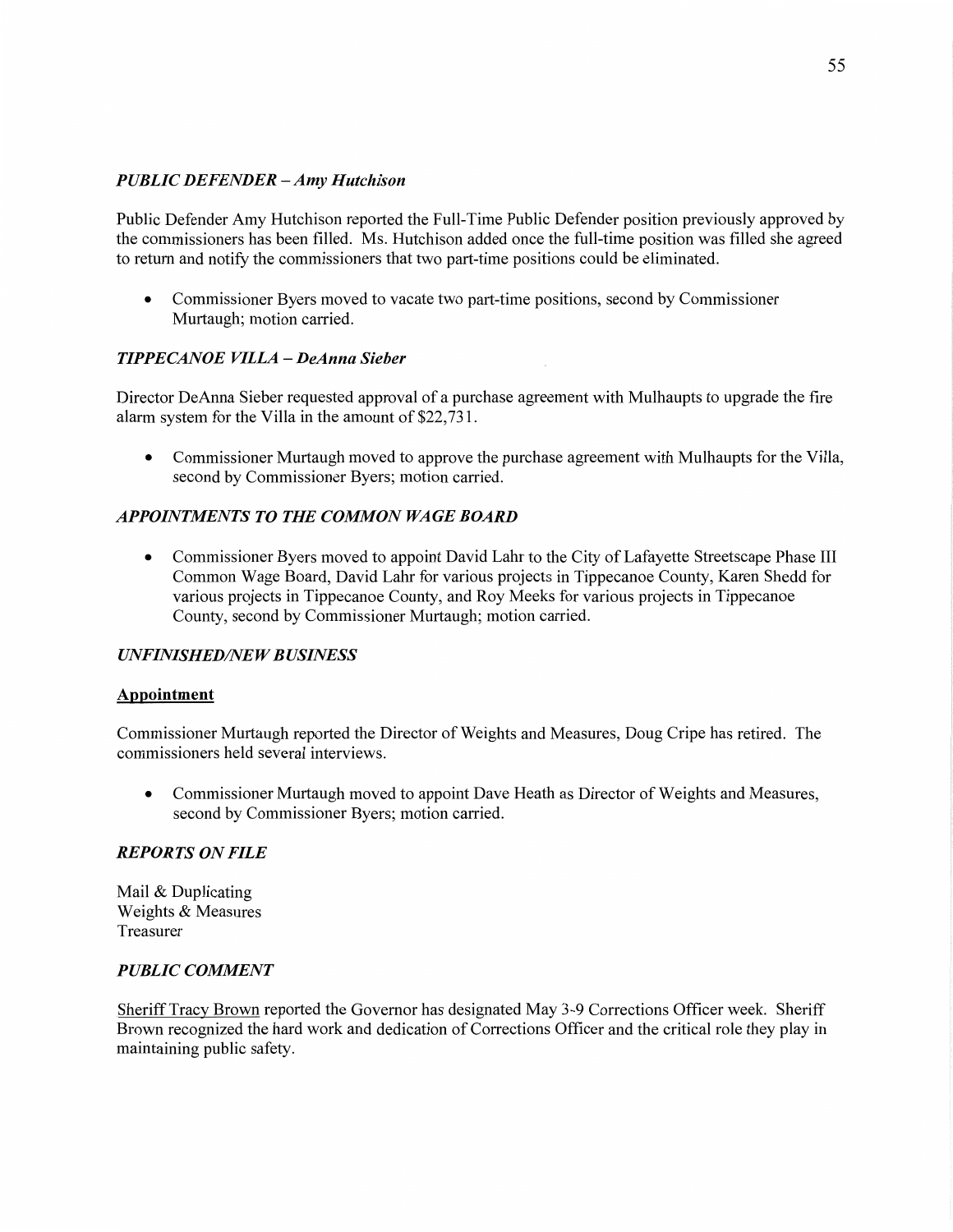# *PUBLIC DEFENDER* **—** Amy *Hutch ison*

Public Defender Amy Hutchison reported the Full-Time Public Defender position previously approved by the commissioners has been filled. Ms. Hutchison added once the full-time position was filled she agreed to return and notify the commissioners that two part-time positions could be eliminated.

**0** Commissioner Byers moved to vacate two part-time positions, second by Commissioner Murtaugh; motion carried.

# *TIPPECANOE VILLA* **—** *DeAnna Sieber*

Director DeAnna Sieber requested approval of a purchase agreement with Mulhaupts to upgrade the fire alarm system for the Villa in the amount of \$22,731.

**0** Commissioner Murtaugh moved to approve the purchase agreement with Mulhaupts for the Villa, second by Commissioner Byers; motion carried.

# **APPOINTMENTS TO THE COMMON WAGE BOARD**

**0** Commissioner Byers moved to appoint **David** Lahr to the City of Lafayette Streetscape Phase HI Common Wage Board, **David** Lahr for **various** projects in Tippecanoe County, Karen Shedd for various projects in Tippecanoe County, and Roy Meeks for various projects in Tippecanoe County, second by Commissioner Murtaugh; motion carried.

## *UNFINISHED/NEW BUSINESS*

#### **Appointment**

Commissioner Murtaugh reported the Director of Weights and Measures, Doug Cripe has retired. The commissioners held several interviews.

**0** Commissioner Murtaugh moved to appoint Dave Heath as Director of Weights and Measures, second by Commissioner Byers; **motion** carried.

## *REPORTS* ON *FILE*

Mail & Duplicating Weights & Measures Treasurer

## *PUBLIC COMMENT*

Sheriff Tracy Brown reported the Governor has designated May 3-9 Corrections Officer week. **Sheriff**  Brown recognized the hard work and dedication of Corrections Officer and the critical role they play in maintaining public safety.